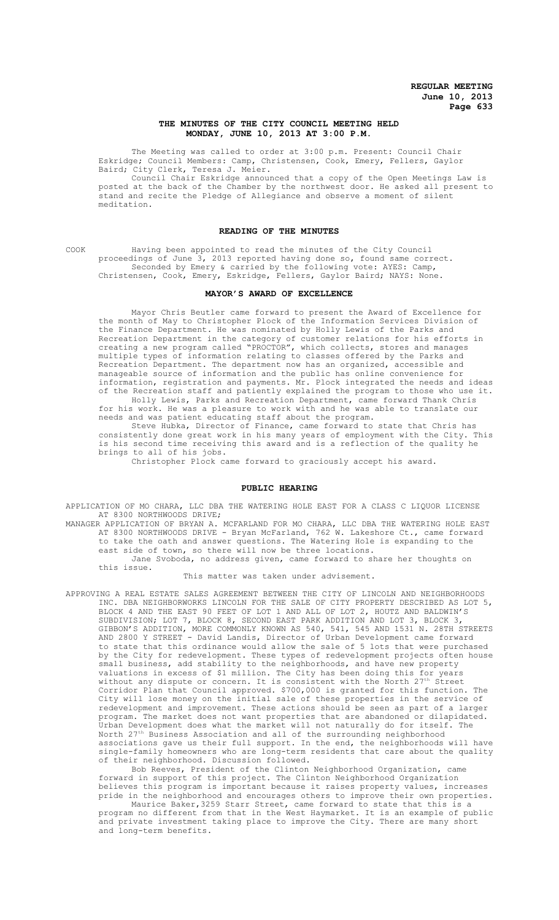# **THE MINUTES OF THE CITY COUNCIL MEETING HELD MONDAY, JUNE 10, 2013 AT 3:00 P.M.**

The Meeting was called to order at 3:00 p.m. Present: Council Chair Eskridge; Council Members: Camp, Christensen, Cook, Emery, Fellers, Gaylor Baird; City Clerk, Teresa J. Meier.

Council Chair Eskridge announced that a copy of the Open Meetings Law is posted at the back of the Chamber by the northwest door. He asked all present to stand and recite the Pledge of Allegiance and observe a moment of silent meditation.

# **READING OF THE MINUTES**

COOK Having been appointed to read the minutes of the City Council proceedings of June 3, 2013 reported having done so, found same correct. Seconded by Emery & carried by the following vote: AYES: Camp, Christensen, Cook, Emery, Eskridge, Fellers, Gaylor Baird; NAYS: None.

#### **MAYOR'S AWARD OF EXCELLENCE**

Mayor Chris Beutler came forward to present the Award of Excellence for the month of May to Christopher Plock of the Information Services Division of the Finance Department. He was nominated by Holly Lewis of the Parks and Recreation Department in the category of customer relations for his efforts in creating a new program called "PROCTOR", which collects, stores and manages multiple types of information relating to classes offered by the Parks and Recreation Department. The department now has an organized, accessible and manageable source of information and the public has online convenience for information, registration and payments. Mr. Plock integrated the needs and ideas of the Recreation staff and patiently explained the program to those who use it. Holly Lewis, Parks and Recreation Department, came forward Thank Chris

for his work. He was a pleasure to work with and he was able to translate our needs and was patient educating staff about the program. Steve Hubka, Director of Finance, came forward to state that Chris has

consistently done great work in his many years of employment with the City. This is his second time receiving this award and is a reflection of the quality he brings to all of his jobs.

Christopher Plock came forward to graciously accept his award.

# **PUBLIC HEARING**

APPLICATION OF MO CHARA, LLC DBA THE WATERING HOLE EAST FOR A CLASS C LIQUOR LICENSE AT 8300 NORTHWOODS DRIVE;

MANAGER APPLICATION OF BRYAN A. MCFARLAND FOR MO CHARA, LLC DBA THE WATERING HOLE EAST AT 8300 NORTHWOODS DRIVE - Bryan McFarland, 762 W. Lakeshore Ct., came forward to take the oath and answer questions. The Watering Hole is expanding to the east side of town, so there will now be three locations. Jane Svoboda, no address given, came forward to share her thoughts on this issue.

This matter was taken under advisement.

APPROVING A REAL ESTATE SALES AGREEMENT BETWEEN THE CITY OF LINCOLN AND NEIGHBORHOODS INC. DBA NEIGHBORWORKS LINCOLN FOR THE SALE OF CITY PROPERTY DESCRIBED AS LOT 5, BLOCK 4 AND THE EAST 90 FEET OF LOT 1 AND ALL OF LOT 2, HOUTZ AND BALDWIN'S SUBDIVISION; LOT 7, BLOCK 8, SECOND EAST PARK ADDITION AND LOT 3, BLOCK 3, GIBBON'S ADDITION, MORE COMMONLY KNOWN AS 540, 541, 545 AND 1531 N. 28TH STREETS AND 2800 Y STREET - David Landis, Director of Urban Development came forward to state that this ordinance would allow the sale of 5 lots that were purchased by the City for redevelopment. These types of redevelopment projects often house small business, add stability to the neighborhoods, and have new property valuations in excess of \$1 million. The City has been doing this for years without any dispute or concern. It is consistent with the North 27th Street Corridor Plan that Council approved. \$700,000 is granted for this function. The City will lose money on the initial sale of these properties in the service of redevelopment and improvement. These actions should be seen as part of a larger<br>program. The market does not want properties that are abandoned or dilapidated. The market does not want properties that are abandoned or dilapidated. Urban Development does what the market will not naturally do for itself. The North 27th Business Association and all of the surrounding neighborhood associations gave us their full support. In the end, the neighborhoods will have single-family homeowners who are long-term residents that care about the quality of their neighborhood. Discussion followed.

Bob Reeves, President of the Clinton Neighborhood Organization, came forward in support of this project. The Clinton Neighborhood Organization believes this program is important because it raises property values, increases pride in the neighborhood and encourages others to improve their own properties.

Maurice Baker,3259 Starr Street, came forward to state that this is a program no different from that in the West Haymarket. It is an example of public and private investment taking place to improve the City. There are many short and long-term benefits.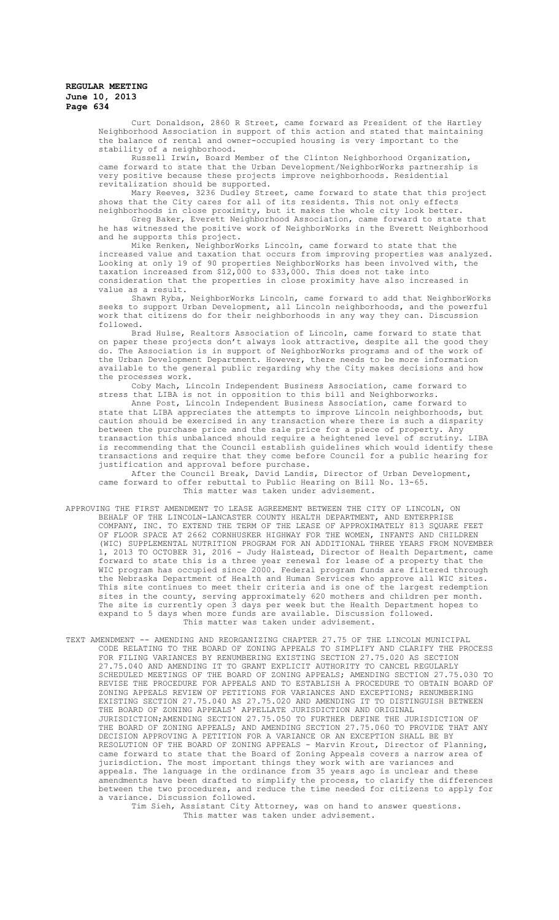Curt Donaldson, 2860 R Street, came forward as President of the Hartley Neighborhood Association in support of this action and stated that maintaining the balance of rental and owner-occupied housing is very important to the stability of a neighborhood.

Russell Irwin, Board Member of the Clinton Neighborhood Organization, came forward to state that the Urban Development/NeighborWorks partnership is very positive because these projects improve neighborhoods. Residential revitalization should be supported.

Mary Reeves, 3236 Dudley Street, came forward to state that this project shows that the City cares for all of its residents. This not only effects neighborhoods in close proximity, but it makes the whole city look better.

Greg Baker, Everett Neighborhood Association, came forward to state that he has witnessed the positive work of NeighborWorks in the Everett Neighborhood and he supports this project.

Mike Renken, NeighborWorks Lincoln, came forward to state that the increased value and taxation that occurs from improving properties was analyzed. Looking at only 19 of 90 properties NeighborWorks has been involved with, the taxation increased from \$12,000 to \$33,000. This does not take into consideration that the properties in close proximity have also increased in value as a result.

Shawn Ryba, NeighborWorks Lincoln, came forward to add that NeighborWorks seeks to support Urban Development, all Lincoln neighborhoods, and the powerful work that citizens do for their neighborhoods in any way they can. Discussion followed.

Brad Hulse, Realtors Association of Lincoln, came forward to state that on paper these projects don't always look attractive, despite all the good they do. The Association is in support of NeighborWorks programs and of the work of the Urban Development Department. However, there needs to be more information available to the general public regarding why the City makes decisions and how the processes work.

Coby Mach, Lincoln Independent Business Association, came forward to stress that LIBA is not in opposition to this bill and Neighborworks.

Anne Post, Lincoln Independent Business Association, came forward to state that LIBA appreciates the attempts to improve Lincoln neighborhoods, but caution should be exercised in any transaction where there is such a disparity between the purchase price and the sale price for a piece of property. Any transaction this unbalanced should require a heightened level of scrutiny. LIBA is recommending that the Council establish guidelines which would identify these transactions and require that they come before Council for a public hearing for justification and approval before purchase.

After the Council Break, David Landis, Director of Urban Development, came forward to offer rebuttal to Public Hearing on Bill No. 13-65. This matter was taken under advisement.

- APPROVING THE FIRST AMENDMENT TO LEASE AGREEMENT BETWEEN THE CITY OF LINCOLN, BEHALF OF THE LINCOLN-LANCASTER COUNTY HEALTH DEPARTMENT, AND ENTERPRISE COMPANY, INC. TO EXTEND THE TERM OF THE LEASE OF APPROXIMATELY 813 SQUARE FEET OF FLOOR SPACE AT 2662 CORNHUSKER HIGHWAY FOR THE WOMEN, INFANTS AND CHILDREN (WIC) SUPPLEMENTAL NUTRITION PROGRAM FOR AN ADDITIONAL THREE YEARS FROM NOVEMBER 1, 2013 TO OCTOBER 31, 2016 - Judy Halstead, Director of Health Department, came forward to state this is a three year renewal for lease of a property that the WIC program has occupied since 2000. Federal program funds are filtered through the Nebraska Department of Health and Human Services who approve all WIC sites. This site continues to meet their criteria and is one of the largest redemption sites in the county, serving approximately 620 mothers and children per month. The site is currently open 3 days per week but the Health Department hopes to expand to 5 days when more funds are available. Discussion followed. This matter was taken under advisement.
- TEXT AMENDMENT -- AMENDING AND REORGANIZING CHAPTER 27.75 OF THE LINCOLN MUNICIPAL CODE RELATING TO THE BOARD OF ZONING APPEALS TO SIMPLIFY AND CLARIFY THE PROCESS FOR FILING VARIANCES BY RENUMBERING EXISTING SECTION 27.75.020 AS SECTION 27.75.040 AND AMENDING IT TO GRANT EXPLICIT AUTHORITY TO CANCEL REGULARLY SCHEDULED MEETINGS OF THE BOARD OF ZONING APPEALS; AMENDING SECTION 27.75.030 TO REVISE THE PROCEDURE FOR APPEALS AND TO ESTABLISH A PROCEDURE TO OBTAIN BOARD OF ZONING APPEALS REVIEW OF PETITIONS FOR VARIANCES AND EXCEPTIONS; RENUMBERING EXISTING SECTION 27.75.040 AS 27.75.020 AND AMENDING IT TO DISTINGUISH BETWEEN THE BOARD OF ZONING APPEALS' APPELLATE JURISDICTION AND ORIGINAL JURISDICTION;AMENDING SECTION 27.75.050 TO FURTHER DEFINE THE JURISDICTION OF THE BOARD OF ZONING APPEALS; AND AMENDING SECTION 27.75.060 TO PROVIDE THAT ANY DECISION APPROVING A PETITION FOR A VARIANCE OR AN EXCEPTION SHALL BE BY RESOLUTION OF THE BOARD OF ZONING APPEALS - Marvin Krout, Director of Planning, came forward to state that the Board of Zoning Appeals covers a narrow area of jurisdiction. The most important things they work with are variances and appeals. The language in the ordinance from 35 years ago is unclear and these amendments have been drafted to simplify the process, to clarify the differences between the two procedures, and reduce the time needed for citizens to apply for a variance. Discussion followed.

Tim Sieh, Assistant City Attorney, was on hand to answer questions. This matter was taken under advisement.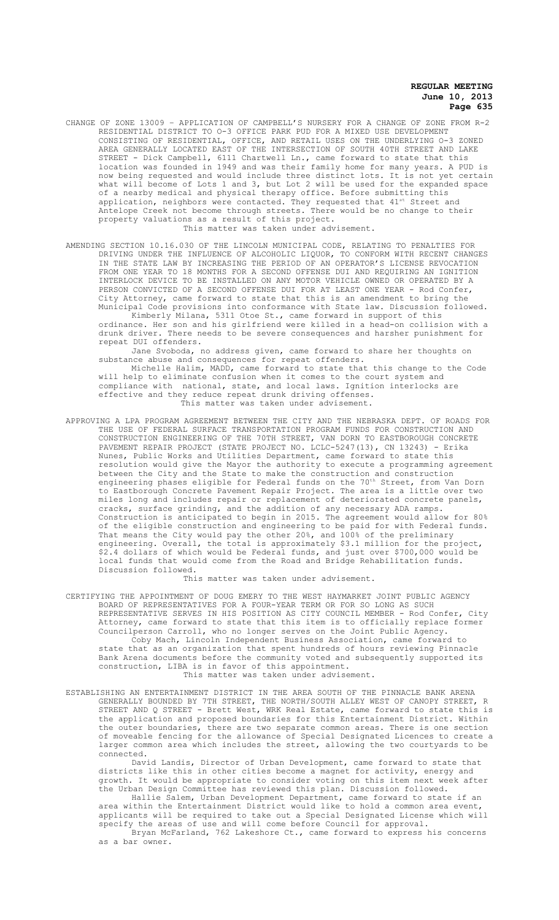CHANGE OF ZONE 13009 – APPLICATION OF CAMPBELL'S NURSERY FOR A CHANGE OF ZONE FROM R-2 RESIDENTIAL DISTRICT TO O-3 OFFICE PARK PUD FOR A MIXED USE DEVELOPMENT CONSISTING OF RESIDENTIAL, OFFICE, AND RETAIL USES ON THE UNDERLYING O-3 ZONED AREA GENERALLY LOCATED EAST OF THE INTERSECTION OF SOUTH 40TH STREET AND LAKE STREET - Dick Campbell, 6111 Chartwell Ln., came forward to state that this location was founded in 1949 and was their family home for many years. A PUD is now being requested and would include three distinct lots. It is not yet certain what will become of Lots 1 and 3, but Lot 2 will be used for the expanded space of a nearby medical and physical therapy office. Before submitting this application, neighbors were contacted. They requested that 41st Street and Antelope Creek not become through streets. There would be no change to their property valuations as a result of this project. This matter was taken under advisement.

AMENDING SECTION 10.16.030 OF THE LINCOLN MUNICIPAL CODE, RELATING TO PENALTIES FOR DRIVING UNDER THE INFLUENCE OF ALCOHOLIC LIQUOR, TO CONFORM WITH RECENT CHANGES IN THE STATE LAW BY INCREASING THE PERIOD OF AN OPERATOR'S LICENSE REVOCATION FROM ONE YEAR TO 18 MONTHS FOR A SECOND OFFENSE DUI AND REQUIRING AN IGNITION INTERLOCK DEVICE TO BE INSTALLED ON ANY MOTOR VEHICLE OWNED OR OPERATED BY A PERSON CONVICTED OF A SECOND OFFENSE DUI FOR AT LEAST ONE YEAR - Rod Confer, City Attorney, came forward to state that this is an amendment to bring the Municipal Code provisions into conformance with State law. Discussion followed.

Kimberly Milana, 5311 Otoe St., came forward in support of this ordinance. Her son and his girlfriend were killed in a head-on collision with a drunk driver. There needs to be severe consequences and harsher punishment for repeat DUI offenders.

Jane Svoboda, no address given, came forward to share her thoughts on substance abuse and consequences for repeat offenders.

Michelle Halim, MADD, came forward to state that this change to the Code will help to eliminate confusion when it comes to the court system and compliance with national, state, and local laws. Ignition interlocks are effective and they reduce repeat drunk driving offenses. This matter was taken under advisement.

APPROVING A LPA PROGRAM AGREEMENT BETWEEN THE CITY AND THE NEBRASKA DEPT. OF ROADS FOR THE USE OF FEDERAL SURFACE TRANSPORTATION PROGRAM FUNDS FOR CONSTRUCTION AND CONSTRUCTION ENGINEERING OF THE 70TH STREET, VAN DORN TO EASTBOROUGH CONCRETE PAVEMENT REPAIR PROJECT (STATE PROJECT NO. LCLC-5247(13), CN 13243) - Erika Nunes, Public Works and Utilities Department, came forward to state this resolution would give the Mayor the authority to execute a programming agreement between the City and the State to make the construction and construction engineering phases eligible for Federal funds on the 70th Street, from Van Dorn to Eastborough Concrete Pavement Repair Project. The area is a little over two miles long and includes repair or replacement of deteriorated concrete panels, cracks, surface grinding, and the addition of any necessary ADA ramps. Construction is anticipated to begin in 2015. The agreement would allow for 80% of the eligible construction and engineering to be paid for with Federal funds. That means the City would pay the other 20%, and 100% of the preliminary engineering. Overall, the total is approximately \$3.1 million for the project, \$2.4 dollars of which would be Federal funds, and just over \$700,000 would be local funds that would come from the Road and Bridge Rehabilitation funds. Discussion followed.

This matter was taken under advisement.

CERTIFYING THE APPOINTMENT OF DOUG EMERY TO THE WEST HAYMARKET JOINT PUBLIC AGENCY BOARD OF REPRESENTATIVES FOR A FOUR-YEAR TERM OR FOR SO LONG AS SUCH REPRESENTATIVE SERVES IN HIS POSITION AS CITY COUNCIL MEMBER - Rod Confer, City Attorney, came forward to state that this item is to officially replace former Councilperson Carroll, who no longer serves on the Joint Public Agency. Coby Mach, Lincoln Independent Business Association, came forward to state that as an organization that spent hundreds of hours reviewing Pinnacle Bank Arena documents before the community voted and subsequently supported its construction, LIBA is in favor of this appointment. This matter was taken under advisement.

ESTABLISHING AN ENTERTAINMENT DISTRICT IN THE AREA SOUTH OF THE PINNACLE BANK ARENA GENERALLY BOUNDED BY 7TH STREET, THE NORTH/SOUTH ALLEY WEST OF CANOPY STREET, R STREET AND Q STREET - Brett West, WRK Real Estate, came forward to state this is the application and proposed boundaries for this Entertainment District. Within the outer boundaries, there are two separate common areas. There is one section of moveable fencing for the allowance of Special Designated Licences to create a larger common area which includes the street, allowing the two courtyards to be connected.

David Landis, Director of Urban Development, came forward to state that districts like this in other cities become a magnet for activity, energy and growth. It would be appropriate to consider voting on this item next week after the Urban Design Committee has reviewed this plan. Discussion followed.

Hallie Salem, Urban Development Department, came forward to state if an area within the Entertainment District would like to hold a common area event, applicants will be required to take out a Special Designated License which will specify the areas of use and will come before Council for approval.

Bryan McFarland, 762 Lakeshore Ct., came forward to express his concerns as a bar owner.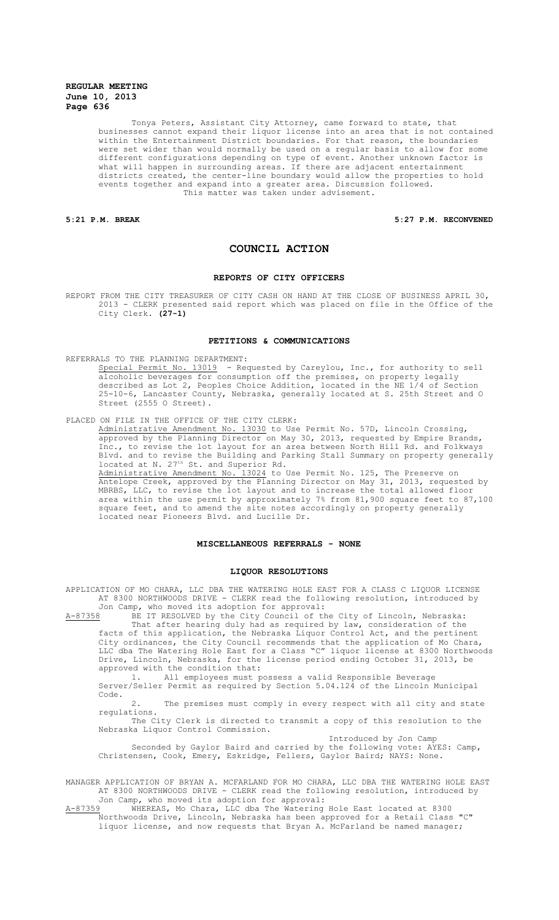Tonya Peters, Assistant City Attorney, came forward to state, that businesses cannot expand their liquor license into an area that is not contained within the Entertainment District boundaries. For that reason, the boundaries were set wider than would normally be used on a regular basis to allow for some different configurations depending on type of event. Another unknown factor is what will happen in surrounding areas. If there are adjacent entertainment districts created, the center-line boundary would allow the properties to hold events together and expand into a greater area. Discussion followed. This matter was taken under advisement.

# **5:21 P.M. BREAK 5:27 P.M. RECONVENED**

# **COUNCIL ACTION**

#### **REPORTS OF CITY OFFICERS**

REPORT FROM THE CITY TREASURER OF CITY CASH ON HAND AT THE CLOSE OF BUSINESS APRIL 30, 2013 - CLERK presented said report which was placed on file in the Office of the City Clerk. **(27-1)**

## **PETITIONS & COMMUNICATIONS**

REFERRALS TO THE PLANNING DEPARTMENT:

Special Permit No. 13019 - Requested by Careylou, Inc., for authority to sell alcoholic beverages for consumption off the premises, on property legally described as Lot 2, Peoples Choice Addition, located in the NE 1/4 of Section 25-10-6, Lancaster County, Nebraska, generally located at S. 25th Street and O Street (2555 O Street).

PLACED ON FILE IN THE OFFICE OF THE CITY CLERK:

Administrative Amendment No. 13030 to Use Permit No. 57D, Lincoln Crossing, approved by the Planning Director on May 30, 2013, requested by Empire Brands, Inc., to revise the lot layout for an area between North Hill Rd. and Folkways Blvd. and to revise the Building and Parking Stall Summary on property generally located at N. 27<sup>th</sup> St. and Superior Rd.

Administrative Amendment No. 13024 to Use Permit No. 125, The Preserve on Antelope Creek, approved by the Planning Director on May 31, 2013, requested by MBRBS, LLC, to revise the lot layout and to increase the total allowed floor area within the use permit by approximately 7% from 81,900 square feet to 87,100 square feet, and to amend the site notes accordingly on property generally located near Pioneers Blvd. and Lucille Dr.

## **MISCELLANEOUS REFERRALS - NONE**

#### **LIQUOR RESOLUTIONS**

APPLICATION OF MO CHARA, LLC DBA THE WATERING HOLE EAST FOR A CLASS C LIQUOR LICENSE AT 8300 NORTHWOODS DRIVE - CLERK read the following resolution, introduced by Jon Camp, who moved its adoption for approval:

A-87358 BE IT RESOLVED by the City Council of the City of Lincoln, Nebraska: That after hearing duly had as required by law, consideration of the facts of this application, the Nebraska Liquor Control Act, and the pertinent City ordinances, the City Council recommends that the application of Mo Chara, LLC dba The Watering Hole East for a Class "C" liquor license at 8300 Northwoods Drive, Lincoln, Nebraska, for the license period ending October 31, 2013, be approved with the condition that:

1. All employees must possess a valid Responsible Beverage Server/Seller Permit as required by Section 5.04.124 of the Lincoln Municipal Code.

2. The premises must comply in every respect with all city and state regulations.

The City Clerk is directed to transmit a copy of this resolution to the Nebraska Liquor Control Commission.

Introduced by Jon Camp Seconded by Gaylor Baird and carried by the following vote: AYES: Camp, Christensen, Cook, Emery, Eskridge, Fellers, Gaylor Baird; NAYS: None.

MANAGER APPLICATION OF BRYAN A. MCFARLAND FOR MO CHARA, LLC DBA THE WATERING HOLE EAST AT 8300 NORTHWOODS DRIVE - CLERK read the following resolution, introduced by Jon Camp, who moved its adoption for approval:<br>A-87359 WHEREAS, Mo Chara, LLC dba The Watering

WHEREAS, Mo Chara, LLC dba The Watering Hole East located at 8300 Northwoods Drive, Lincoln, Nebraska has been approved for a Retail Class "C" liquor license, and now requests that Bryan A. McFarland be named manager;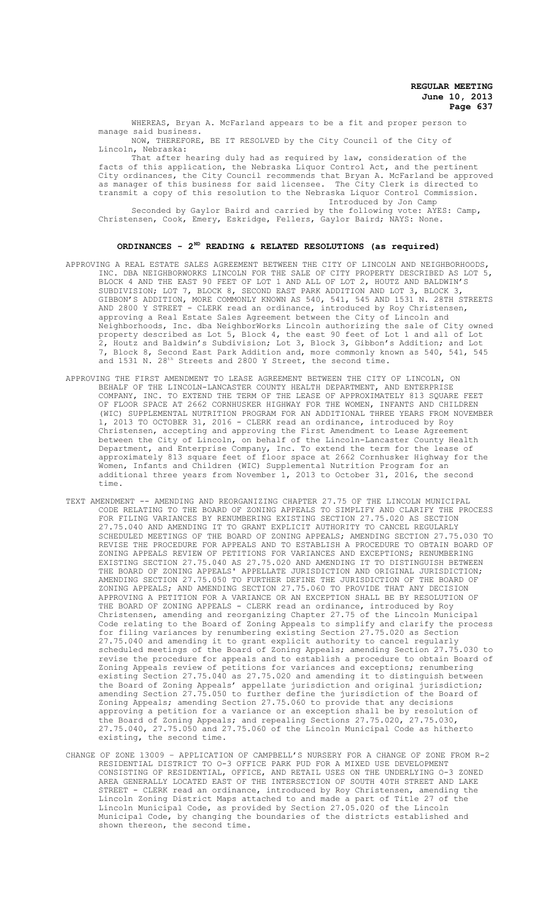WHEREAS, Bryan A. McFarland appears to be a fit and proper person to manage said business.

NOW, THEREFORE, BE IT RESOLVED by the City Council of the City of Lincoln, Nebraska:

That after hearing duly had as required by law, consideration of the facts of this application, the Nebraska Liquor Control Act, and the pertinent City ordinances, the City Council recommends that Bryan A. McFarland be approved as manager of this business for said licensee. The City Clerk is directed to transmit a copy of this resolution to the Nebraska Liquor Control Commission. Introduced by Jon Camp

Seconded by Gaylor Baird and carried by the following vote: AYES: Camp, Christensen, Cook, Emery, Eskridge, Fellers, Gaylor Baird; NAYS: None.

# **ORDINANCES - 2ND READING & RELATED RESOLUTIONS (as required)**

- APPROVING A REAL ESTATE SALES AGREEMENT BETWEEN THE CITY OF LINCOLN AND NEIGHBORHOODS, INC. DBA NEIGHBORWORKS LINCOLN FOR THE SALE OF CITY PROPERTY DESCRIBED AS LOT 5, BLOCK 4 AND THE EAST 90 FEET OF LOT 1 AND ALL OF LOT 2, HOUTZ AND BALDWIN'S SUBDIVISION; LOT 7, BLOCK 8, SECOND EAST PARK ADDITION AND LOT 3, BLOCK 3, GIBBON'S ADDITION, MORE COMMONLY KNOWN AS 540, 541, 545 AND 1531 N. 28TH STREETS AND 2800 Y STREET - CLERK read an ordinance, introduced by Roy Christensen, approving a Real Estate Sales Agreement between the City of Lincoln and Neighborhoods, Inc. dba NeighborWorks Lincoln authorizing the sale of City owned property described as Lot 5, Block 4, the east 90 feet of Lot 1 and all of Lot 2, Houtz and Baldwin's Subdivision; Lot 3, Block 3, Gibbon's Addition; and Lot Block 8, Second East Park Addition and, more commonly known as 540, 541, 545 and 1531 N. 28<sup>th</sup> Streets and 2800 Y Street, the second time.
- APPROVING THE FIRST AMENDMENT TO LEASE AGREEMENT BETWEEN THE CITY OF LINCOLN, ON BEHALF OF THE LINCOLN-LANCASTER COUNTY HEALTH DEPARTMENT, AND ENTERPRISE COMPANY, INC. TO EXTEND THE TERM OF THE LEASE OF APPROXIMATELY 813 SQUARE FEET SPACE AT 2662 CORNHUSKER HIGHWAY FOR THE WOMEN, INFANTS AND CHILDREN (WIC) SUPPLEMENTAL NUTRITION PROGRAM FOR AN ADDITIONAL THREE YEARS FROM NOVEMBER 1, 2013 TO OCTOBER 31, 2016 - CLERK read an ordinance, introduced by Roy Christensen, accepting and approving the First Amendment to Lease Agreement between the City of Lincoln, on behalf of the Lincoln-Lancaster County Health Department, and Enterprise Company, Inc. To extend the term for the lease of approximately 813 square feet of floor space at 2662 Cornhusker Highway for the Women, Infants and Children (WIC) Supplemental Nutrition Program for an additional three years from November 1, 2013 to October 31, 2016, the second time.
- TEXT AMENDMENT -- AMENDING AND REORGANIZING CHAPTER 27.75 OF THE LINCOLN MUNICIPAL CODE RELATING TO THE BOARD OF ZONING APPEALS TO SIMPLIFY AND CLARIFY THE PROCESS FOR FILING VARIANCES BY RENUMBERING EXISTING SECTION 27.75.020 AS SECTION 27.75.040 AND AMENDING IT TO GRANT EXPLICIT AUTHORITY TO CANCEL REGULARLY SCHEDULED MEETINGS OF THE BOARD OF ZONING APPEALS; AMENDING SECTION 27.75.030 TO REVISE THE PROCEDURE FOR APPEALS AND TO ESTABLISH A PROCEDURE TO OBTAIN BOARD OF ZONING APPEALS REVIEW OF PETITIONS FOR VARIANCES AND EXCEPTIONS; RENUMBERING EXISTING SECTION 27.75.040 AS 27.75.020 AND AMENDING IT TO DISTINGUISH BETWEEN THE BOARD OF ZONING APPEALS' APPELLATE JURISDICTION AND ORIGINAL JURISDICTION; AMENDING SECTION 27.75.050 TO FURTHER DEFINE THE JURISDICTION OF THE BOARD OF ZONING APPEALS; AND AMENDING SECTION 27.75.060 TO PROVIDE THAT ANY DECISION APPROVING A PETITION FOR A VARIANCE OR AN EXCEPTION SHALL BE BY RESOLUTION OF THE BOARD OF ZONING APPEALS - CLERK read an ordinance, introduced by Roy Christensen, amending and reorganizing Chapter 27.75 of the Lincoln Municipal Code relating to the Board of Zoning Appeals to simplify and clarify the process for filing variances by renumbering existing Section 27.75.020 as Section 27.75.040 and amending it to grant explicit authority to cancel regularly scheduled meetings of the Board of Zoning Appeals; amending Section 27.75.030 to revise the procedure for appeals and to establish a procedure to obtain Board of Zoning Appeals review of petitions for variances and exceptions; renumbering existing Section 27.75.040 as 27.75.020 and amending it to distinguish between the Board of Zoning Appeals' appellate jurisdiction and original jurisdiction; amending Section 27.75.050 to further define the jurisdiction of the Board of Zoning Appeals; amending Section 27.75.060 to provide that any decisions approving a petition for a variance or an exception shall be by resolution of the Board of Zoning Appeals; and repealing Sections 27.75.020, 27.75.030, 27.75.040, 27.75.050 and 27.75.060 of the Lincoln Municipal Code as hitherto existing, the second time.
- CHANGE OF ZONE 13009 APPLICATION OF CAMPBELL'S NURSERY FOR A CHANGE OF ZONE FROM R-2 RESIDENTIAL DISTRICT TO O-3 OFFICE PARK PUD FOR A MIXED USE DEVELOPMENT CONSISTING OF RESIDENTIAL, OFFICE, AND RETAIL USES ON THE UNDERLYING O-3 ZONED AREA GENERALLY LOCATED EAST OF THE INTERSECTION OF SOUTH 40TH STREET AND LAKE STREET - CLERK read an ordinance, introduced by Roy Christensen, amending the Lincoln Zoning District Maps attached to and made a part of Title 27 of the Lincoln Municipal Code, as provided by Section 27.05.020 of the Lincoln Municipal Code, by changing the boundaries of the districts established and shown thereon, the second time.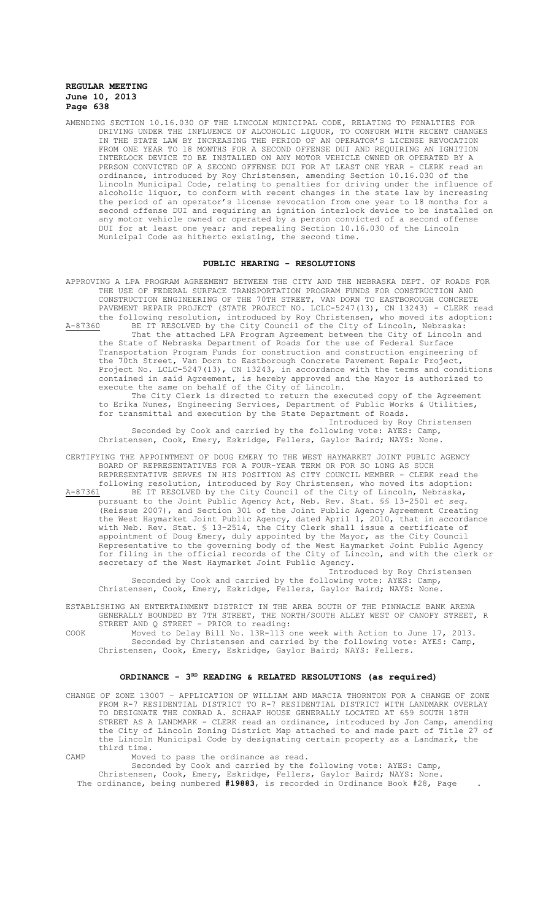AMENDING SECTION 10.16.030 OF THE LINCOLN MUNICIPAL CODE, RELATING TO PENALTIES FOR DRIVING UNDER THE INFLUENCE OF ALCOHOLIC LIQUOR, TO CONFORM WITH RECENT CHANGES IN THE STATE LAW BY INCREASING THE PERIOD OF AN OPERATOR'S LICENSE REVOCATION FROM ONE YEAR TO 18 MONTHS FOR A SECOND OFFENSE DUI AND REQUIRING AN IGNITION INTERLOCK DEVICE TO BE INSTALLED ON ANY MOTOR VEHICLE OWNED OR OPERATED BY A PERSON CONVICTED OF A SECOND OFFENSE DUI FOR AT LEAST ONE YEAR - CLERK read an ordinance, introduced by Roy Christensen, amending Section 10.16.030 of the Lincoln Municipal Code, relating to penalties for driving under the influence of alcoholic liquor, to conform with recent changes in the state law by increasing the period of an operator's license revocation from one year to 18 months for a second offense DUI and requiring an ignition interlock device to be installed on any motor vehicle owned or operated by a person convicted of a second offense DUI for at least one year; and repealing Section 10.16.030 of the Lincoln Municipal Code as hitherto existing, the second time.

#### **PUBLIC HEARING - RESOLUTIONS**

APPROVING A LPA PROGRAM AGREEMENT BETWEEN THE CITY AND THE NEBRASKA DEPT. OF ROADS FOR THE USE OF FEDERAL SURFACE TRANSPORTATION PROGRAM FUNDS FOR CONSTRUCTION AND CONSTRUCTION ENGINEERING OF THE 70TH STREET, VAN DORN TO EASTBOROUGH CONCRETE PAVEMENT REPAIR PROJECT (STATE PROJECT NO. LCLC-5247(13), CN 13243) - CLERK read the following resolution, introduced by Roy Christensen, who moved its adoption: A-87360 BE IT RESOLVED by the City Council of the City of Lincoln, Nebraska: That the attached LPA Program Agreement between the City of Lincoln and the State of Nebraska Department of Roads for the use of Federal Surface Transportation Program Funds for construction and construction engineering of the 70th Street, Van Dorn to Eastborough Concrete Pavement Repair Project, Project No. LCLC-5247(13), CN 13243, in accordance with the terms and conditions contained in said Agreement, is hereby approved and the Mayor is authorized to execute the same on behalf of the City of Lincoln. The City Clerk is directed to return the executed copy of the Agreement to Erika Nunes, Engineering Services, Department of Public Works & Utilities, for transmittal and execution by the State Department of Roads. Introduced by Roy Christensen Seconded by Cook and carried by the following vote: AYES: Camp, Christensen, Cook, Emery, Eskridge, Fellers, Gaylor Baird; NAYS: None. CERTIFYING THE APPOINTMENT OF DOUG EMERY TO THE WEST HAYMARKET JOINT PUBLIC AGENCY BOARD OF REPRESENTATIVES FOR A FOUR-YEAR TERM OR FOR SO LONG AS SUCH REPRESENTATIVE SERVES IN HIS POSITION AS CITY COUNCIL MEMBER - CLERK read the following resolution, introduced by Roy Christensen, who moved its adoption: A-87361 BE IT RESOLVED by the City Council of the City of Lincoln, Nebraska, pursuant to the Joint Public Agency Act, Neb. Rev. Stat. §§ 13-2501 *et seq.* (Reissue 2007), and Section 301 of the Joint Public Agency Agreement Creating the West Haymarket Joint Public Agency, dated April 1, 2010, that in accordance with Neb. Rev. Stat. § 13-2514, the City Clerk shall issue a certificate of appointment of Doug Emery, duly appointed by the Mayor, as the City Council Representative to the governing body of the West Haymarket Joint Public Agency for filing in the official records of the City of Lincoln, and with the clerk or secretary of the West Haymarket Joint Public Agency. Introduced by Roy Christensen Seconded by Cook and carried by the following vote: AYES: Camp, Christensen, Cook, Emery, Eskridge, Fellers, Gaylor Baird; NAYS: None.

ESTABLISHING AN ENTERTAINMENT DISTRICT IN THE AREA SOUTH OF THE PINNACLE BANK ARENA GENERALLY BOUNDED BY 7TH STREET, THE NORTH/SOUTH ALLEY WEST OF CANOPY STREET, R STREET AND Q STREET - PRIOR to reading:

COOK Moved to Delay Bill No. 13R-113 one week with Action to June 17, 2013. Seconded by Christensen and carried by the following vote: AYES: Camp, Christensen, Cook, Emery, Eskridge, Gaylor Baird; NAYS: Fellers.

# ORDINANCE - 3<sup>RD</sup> READING & RELATED RESOLUTIONS (as required)

CHANGE OF ZONE 13007 – APPLICATION OF WILLIAM AND MARCIA THORNTON FOR A CHANGE OF ZONE FROM R-7 RESIDENTIAL DISTRICT TO R-7 RESIDENTIAL DISTRICT WITH LANDMARK OVERLAY TO DESIGNATE THE CONRAD A. SCHAAF HOUSE GENERALLY LOCATED AT 659 SOUTH 18TH STREET AS A LANDMARK - CLERK read an ordinance, introduced by Jon Camp, amending the City of Lincoln Zoning District Map attached to and made part of Title 27 of the Lincoln Municipal Code by designating certain property as a Landmark, the third time.

CAMP Moved to pass the ordinance as read. Seconded by Cook and carried by the following vote: AYES: Camp, Christensen, Cook, Emery, Eskridge, Fellers, Gaylor Baird; NAYS: None. The ordinance, being numbered **#19883**, is recorded in Ordinance Book #28, Page .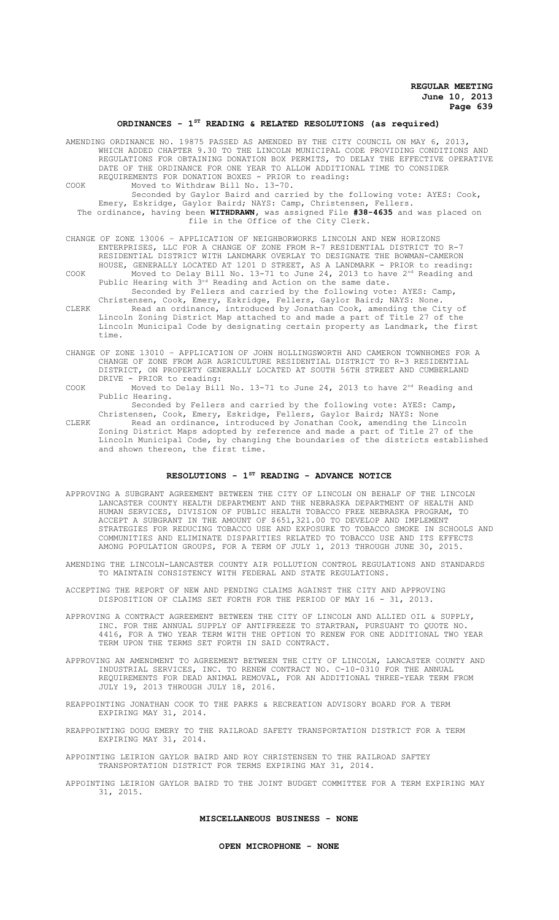# **ORDINANCES - 1ST READING & RELATED RESOLUTIONS (as required)**

|       | AMENDING ORDINANCE NO. 19875 PASSED AS AMENDED BY THE CITY COUNCIL ON MAY 6, 2013,<br>WHICH ADDED CHAPTER 9.30 TO THE LINCOLN MUNICIPAL CODE PROVIDING CONDITIONS AND<br>REGULATIONS FOR OBTAINING DONATION BOX PERMITS, TO DELAY THE EFFECTIVE OPERATIVE<br>DATE OF THE ORDINANCE FOR ONE YEAR TO ALLOW ADDITIONAL TIME TO CONSIDER<br>REQUIREMENTS FOR DONATION BOXES - PRIOR to reading: |
|-------|---------------------------------------------------------------------------------------------------------------------------------------------------------------------------------------------------------------------------------------------------------------------------------------------------------------------------------------------------------------------------------------------|
| COOK  | Moved to Withdraw Bill No. 13-70.<br>Seconded by Gaylor Baird and carried by the following vote: AYES: Cook,<br>Emery, Eskridge, Gaylor Baird; NAYS: Camp, Christensen, Fellers.                                                                                                                                                                                                            |
|       | The ordinance, having been WITHDRAWN, was assigned File #38-4635 and was placed on<br>file in the Office of the City Clerk.                                                                                                                                                                                                                                                                 |
|       | CHANGE OF ZONE 13006 - APPLICATION OF NEIGHBORWORKS LINCOLN AND NEW HORIZONS<br>ENTERPRISES, LLC FOR A CHANGE OF ZONE FROM R-7 RESIDENTIAL DISTRICT TO R-7<br>RESIDENTIAL DISTRICT WITH LANDMARK OVERLAY TO DESIGNATE THE BOWMAN-CAMERON<br>HOUSE, GENERALLY LOCATED AT 1201 D STREET, AS A LANDMARK - PRIOR to reading:                                                                    |
| COOK  | Moved to Delay Bill No. 13-71 to June 24, 2013 to have $2nd$ Reading and<br>Public Hearing with 3rd Reading and Action on the same date.<br>Seconded by Fellers and carried by the following vote: AYES: Camp,<br>Christensen, Cook, Emery, Eskridge, Fellers, Gaylor Baird; NAYS: None.                                                                                                    |
| CLERK | Read an ordinance, introduced by Jonathan Cook, amending the City of<br>Lincoln Zoning District Map attached to and made a part of Title 27 of the<br>Lincoln Municipal Code by designating certain property as Landmark, the first<br>time.                                                                                                                                                |
|       | CHANGE OF ZONE 13010 - APPLICATION OF JOHN HOLLINGSWORTH AND CAMERON TOWNHOMES FOR A<br>CHANGE OF ZONE FROM AGR AGRICULTURE RESIDENTIAL DISTRICT TO R-3 RESIDENTIAL<br>DISTRICT, ON PROPERTY GENERALLY LOCATED AT SOUTH 56TH STREET AND CUMBERLAND<br>DRIVE - PRIOR to reading:                                                                                                             |
| COOK  | Moved to Delay Bill No. 13-71 to June 24, 2013 to have 2 <sup>nd</sup> Reading and<br>Public Hearing.<br>Seconded by Fellers and carried by the following vote: AYES: Camp,                                                                                                                                                                                                                 |

Christensen, Cook, Emery, Eskridge, Fellers, Gaylor Baird; NAYS: None CLERK Read an ordinance, introduced by Jonathan Cook, amending the Lincoln Zoning District Maps adopted by reference and made a part of Title 27 of the Lincoln Municipal Code, by changing the boundaries of the districts established and shown thereon, the first time.

# **RESOLUTIONS - 1ST READING - ADVANCE NOTICE**

- APPROVING A SUBGRANT AGREEMENT BETWEEN THE CITY OF LINCOLN ON BEHALF OF THE LINCOLN LANCASTER COUNTY HEALTH DEPARTMENT AND THE NEBRASKA DEPARTMENT OF HEALTH AND HUMAN SERVICES, DIVISION OF PUBLIC HEALTH TOBACCO FREE NEBRASKA PROGRAM, TO ACCEPT A SUBGRANT IN THE AMOUNT OF \$651,321.00 TO DEVELOP AND IMPLEMENT STRATEGIES FOR REDUCING TOBACCO USE AND EXPOSURE TO TOBACCO SMOKE IN SCHOOLS AND COMMUNITIES AND ELIMINATE DISPARITIES RELATED TO TOBACCO USE AND ITS EFFECTS AMONG POPULATION GROUPS, FOR A TERM OF JULY 1, 2013 THROUGH JUNE 30, 2015.
- AMENDING THE LINCOLN-LANCASTER COUNTY AIR POLLUTION CONTROL REGULATIONS AND STANDARDS TO MAINTAIN CONSISTENCY WITH FEDERAL AND STATE REGULATIONS.
- ACCEPTING THE REPORT OF NEW AND PENDING CLAIMS AGAINST THE CITY AND APPROVING DISPOSITION OF CLAIMS SET FORTH FOR THE PERIOD OF MAY 16 - 31, 2013.
- APPROVING A CONTRACT AGREEMENT BETWEEN THE CITY OF LINCOLN AND ALLIED OIL & SUPPLY, INC. FOR THE ANNUAL SUPPLY OF ANTIFREEZE TO STARTRAN, PURSUANT TO QUOTE NO. 4416, FOR A TWO YEAR TERM WITH THE OPTION TO RENEW FOR ONE ADDITIONAL TWO YEAR TERM UPON THE TERMS SET FORTH IN SAID CONTRACT.
- APPROVING AN AMENDMENT TO AGREEMENT BETWEEN THE CITY OF LINCOLN, LANCASTER COUNTY AND INDUSTRIAL SERVICES, INC. TO RENEW CONTRACT NO. C-10-0310 FOR THE ANNUAL REQUIREMENTS FOR DEAD ANIMAL REMOVAL, FOR AN ADDITIONAL THREE-YEAR TERM FROM JULY 19, 2013 THROUGH JULY 18, 2016.
- REAPPOINTING JONATHAN COOK TO THE PARKS & RECREATION ADVISORY BOARD FOR A TERM EXPIRING MAY 31, 2014.
- REAPPOINTING DOUG EMERY TO THE RAILROAD SAFETY TRANSPORTATION DISTRICT FOR A TERM EXPIRING MAY 31, 2014.

APPOINTING LEIRION GAYLOR BAIRD AND ROY CHRISTENSEN TO THE RAILROAD SAFTEY TRANSPORTATION DISTRICT FOR TERMS EXPIRING MAY 31, 2014.

APPOINTING LEIRION GAYLOR BAIRD TO THE JOINT BUDGET COMMITTEE FOR A TERM EXPIRING MAY 31, 2015.

# **MISCELLANEOUS BUSINESS - NONE**

## **OPEN MICROPHONE - NONE**